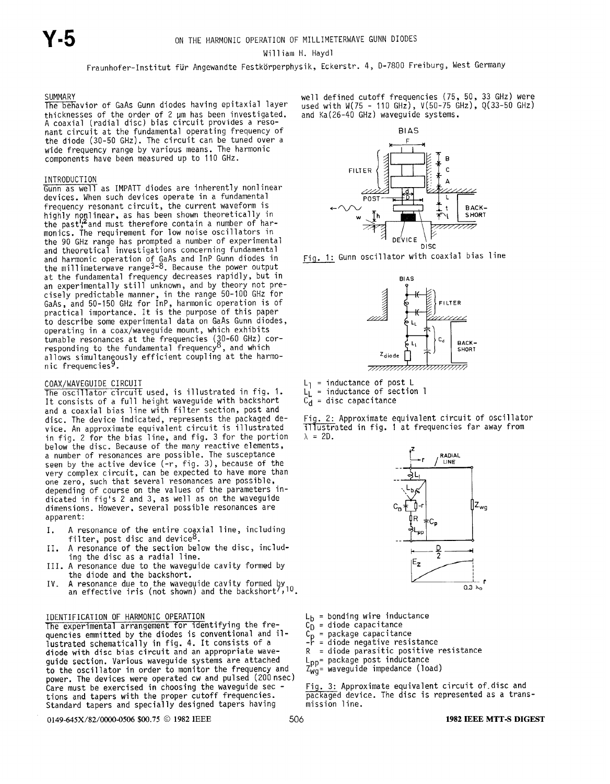William H. Haydl

Fraunhofer-Institut fur Angewandte Festkorperphysik, Eckerstr. 4, 0-7800 Freiburg, West Germany

#### SUMMARY

The behavior of GaAs Gunn diodes having epitaxial layer thicknesses of the order of 2 um has been investigated. A coaxial (radial disc) bias circuit provides a resonant circuit at the fundamental operating frequency of the diode (30-50 GHz). The circuit can be tuned over a wide frequency range by various means. The harmonic components have been measured up to 110 GHz.

#### INTRODUCTION

Gunn as well as IMPATT diodes are inherently nonlinear devices. When such devices operate in a fundamental frequency resonant circuit, the current waveform is highly nonlinear, as has been shown theoretically in the past';"and must therefore contain a number of har monics. The requirement for low noise oscillators in the 90 GHz range has prompted a number of experimental and theoretical investigations concerning fundamental and harmonic operation of GaAs and InP Gunn diodes in the millimeterwave range<sup>9-0</sup>. Because the power outpu at the fundamental frequency decreases rapidly, but in<br>an experimentally still unknown, and by theory not prean experimentally still unknown, and by theory not pre<br>cisely predictable manner, in the range 50-100 GHz for GaAs, and 50-150 GHz for InP, harmonic operation is of practical importance. It is the purpose of this pape to describe some experimental data on GaAs Gunn diodes, operating in a coax/waveguide mount, which exhibits tunable resonances at the frequencies (30-60 GHz) cor responding to the fundamental frequency°, and whic allows simultaneously efficient coupling at the harmonic frequenci

#### COAX/WAVEGUIDE CIRCUIT

The oscillator circuit used. is illustrated in fiq. 1. It consists of a full height waveguide with backsho and a coaxial bias line with filter section, post and disc. The device indicated, represents the packaged device. An approximate equivalent circuit is illustr in fig. 2 for the bias line, and fig. 3 for the porti below the disc. Because of the many reactive elements, a number of resonances are possible. The susceptan seen by the active device (-r, fig. 3), because of the very complex circuit, can be expected to have more than one zero, such that several resonances are possible, depending of course on the values of the parameters indicated in fig's 2 and 3, as well as on the waveguide dimensions. However, several possible resonances are apparent:

- I. A resonance of the entire coaxial line, including filter, post disc and device<sup>8</sup>.
- A resonance of the section below the disc, including the disc as a radial line.
- III. A resonance due to the waveguide cavity formed by the diode and the backshort.
- IV. A resonance due to the waveguide cavity formed by<br>an effective iris (not shown) and the backshort<sup>7</sup>,<sup>10</sup>.

IDENTIFICATION OF HARMONIC OPERATION<br>The experimental arrangement for identifying the fre-  $C_n$  = diode capacitance The experimental arrangement for identifying the fre-<br>quencies emmitted by the diodes is conventional and il-<br>lustrated schematically in fig. 4. It consists of a<br>-r = diode negative resiquencies emmitted by the diodes is conventional and il-<br>lustrated schematically in fig. 4. It consists of a  $-$ - $\overline{r}$  = diode negative resistance lustrated schematically in fig. 4. It consists of a  $r - \frac{1}{r} = \frac{1}{r}$  in diode negative resistance<br>diode with disc bias circuit and an appropriate wave-<br> $R = \frac{1}{r}$  and parasitic positive resistance diode with disc bias circuit and an appropriate wave-<br>guide section. Various waveguide systems are attached  $L_{nn}$ = package post inductance guide section. Various waveguide systems are attached  $L_{\text{pp}}$  = package post inductance<br>to the oscillator in order to monitor the frequency and  $Z_{\text{wa}}$  = waveguide impedance (load) to the oscillator in order to monitor the frequency and power. The devices were operated cw and pulsed (200 nsec) Care must be exercised in choosing the waveguide sec - Fig. 3: Approximate equivalent circuit of disc and<br>tions and tapers with the proper cutoff frequencies.  $\frac{1}{\text{package}}$  device. The disc is represented as a transtions and tapers with the proper cutoff frequencies.  $\overline{packaged}$  devices.<br>Standard tapers and specially designed tapers having mission line. Standard tapers and specially designed tapers having

0149-645X/82/0000-0506 \$00.75 © 1982 IEEE 506 506 1982 IEEE 506 1982 IEEE MTT-S DIGEST

well defined cutoff frequencies (75, 50, 33 GHz) were used with W(75 - 110 GHz), V(50-75 GHz), Q(33-50 GHz) and Ka(26-40 GHz) waveguide systems.



Fig. 1: Gunn oscillator with coaxial bias line



 $L_1$  = inductance of post L

 $L_L =$  inductance of section 1<br> $C_d =$  disc capacitance

 $=$  disc capacitance

Fig. 2: Approximate equivalent circuit of oscillator TTTustrated in fig. 1 at frequencies far away from  $\lambda$  = 2D.



- 
- 
- 
- 
- 
- 
- 
-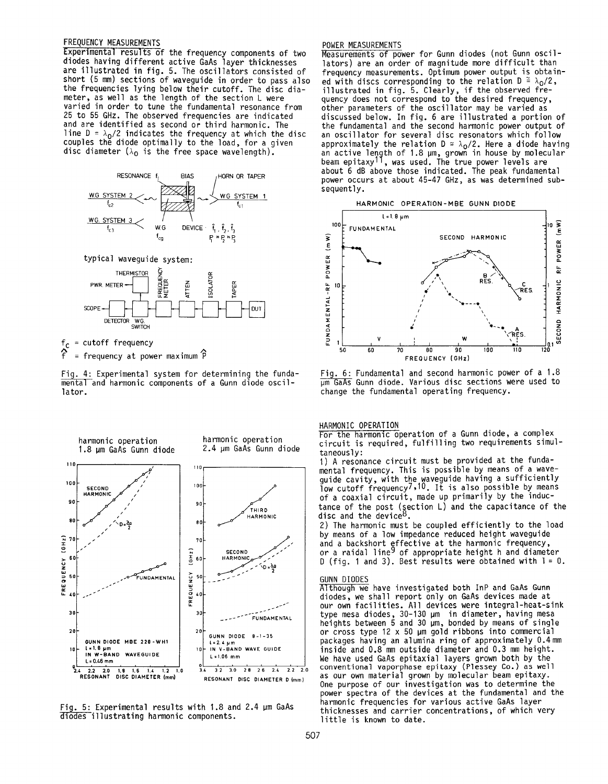# FREQUENCY MEASUREMENTS

Experimental results of the frequency components of two diodes having different active GaAs layer thicknesses are illustrated in fig. 5. The oscillators consisted of short (5 mm) sections of waveguide in order to pass also the frequencies lying below their cutoff. The disc diameter, as well as the length of the section L were varied in order to tune the fundamental resonance from 25 to 55 GHz. The observed frequencies are indicated and are identified as second or third harmonic. The line  $D = \lambda_0/2$  indicates the frequency at which the disc couples the diode optimally to the load, for a given disc diameter  $(\lambda_0$  is the free space wavelength).



typical waveguide system:



= cutoff frequency = frequency at power maximum  $\hat{P}$ 

Fig. 4: Experimental system for determining the fundamental and harmonic components of a Gunn diode oscillator.



Fig. 5: Experimental results with 1.8 and 2.4 µm GaAs diodes illustrating harmonic components.

# POWER MEASUREMENTS

Measurements of power for Gunn diodes (not Gunn oscillators) are an order of magnitude more difficult than frequency measurements. Optimum power output is obtained with discs corresponding to the relation  $D = \lambda_0/2$ , illustrated in fig. 5. Clearly, if the observed frequency does not correspond to the desired frequency, other parameters of the oscillator may be varied as discussed below. In fig. 6 are illustrated a portion of the fundamental and the second harmonic power output of an oscillator for several disc resonators which follow approximately the relation  $D \cong \lambda_0/2$ . Here a diode having an active length of 1.8 µm, grown in house by molecular beam epitaxy<sup>11</sup>, was used. The true power levels are about 6 dB above those indicated. The peak fundamental power occurs at about 45-47 GHz, as was determined subsequently.

#### HARMONIC OPERATION-MBE GUNN DIODE



Fig. 6: Fundamental and second harmonic power of a 1.8  $\overline{\mu m}$  GaAs Gunn diode. Various disc sections were used to change the fundamental operating frequency.

#### HARMONIC OPERATION

For the harmonic operation of a Gunn diode, a complex circuit is required, fulfilling two requirements simultaneously:

1) A resonance circuit must be provided at the funda-<br>mental frequency. This is possible by means of a waveguide cavity, with the waveguide having a sufficiently<br>low cutoff frequency<sup>7</sup>,<sup>10</sup>. It is also possible by means of a coaxial circuit, made up primarily by the inductance of the post (section  $L$ ) and the capacitance of the disc and the device<sup>8</sup>.

2) The harmonic must be coupled efficiently to the load by means of a low impedance reduced height waveguide and a backshort effective at the harmonic frequency,<br>or a raidal line<sup>9</sup> of appropriate height h and diameter D (fig. 1 and 3). Best results were obtained with  $l = 0$ .

#### **GUNN DIODES**

Although we have investigated both InP and GaAs Gunn diodes, we shall report only on GaAs devices made at<br>our own facilities. All devices were integral-heat-sink type mesa diodes,  $30-130 \text{ µm}$  in diameter, having mesa<br>heights between 5 and 30  $\text{µm}$ , bonded by means of single<br>or cross type 12 x 50  $\text{µm}$  gold ribbons into commercial packages having an alumina ring of approximately 0.4 mm inside and 0.8 mm outside diameter and 0.3 mm height. We have used GaAs epitaxial layers grown both by the conventional vaporphase epitaxy (Plessey Co.) as well as our own material grown by molecular beam epitaxy. One purpose of our investigation was to determine the power spectra of the devices at the fundamental and the harmonic frequencies for various active GaAs layer thicknesses and carrier concentrations, of which very little is known to date.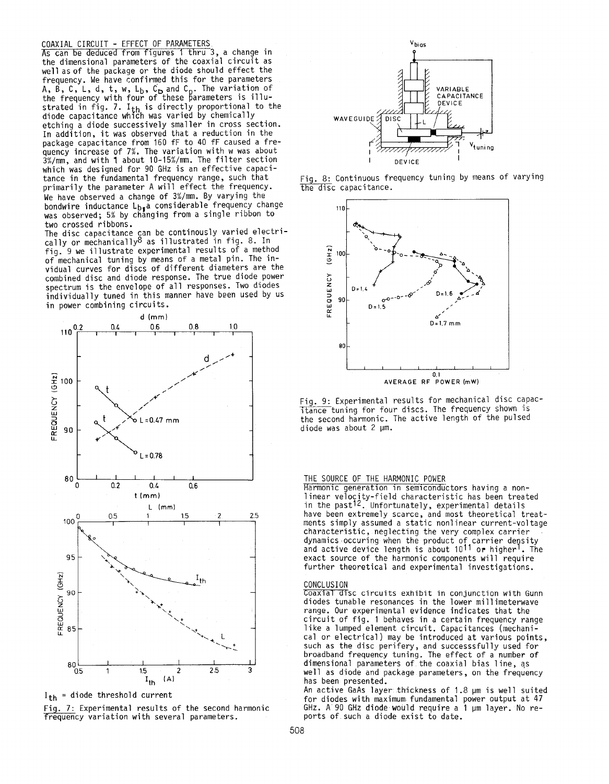# COAXIAL CIRCUIT - EFFECT OF PARAMETERS

As can be deduced from figures 1 thru 3, a change in the dimensional parameter= of the coaxial circuit as well as of the package or the diode should effect the frequency. We have confirmed this for the parameters A, B, C, L, d, t, w, L<sub>b</sub>, C<sub>D</sub> and C<sub>n</sub>. The variation of the frequency with four of these parameters is ill strated in fig. 7. I<sub>th</sub> is directly proportional to th diode capacitance which was varied by chemical etching a diode successively smaller in cross secti In addition, it was observed that a reduction in the package capacitance from 160 fF to 40 fF caused a frequency increase of 7%. The variation with w was about 3%/mm, and with 1 about 10-15%/mm. The filter section which was designed for 90 GHz is an effective capacitance in the fundamental frequency range, such that primarily the parameter A will effect the frequency. We have observed a change of 3%/mm. By varying the bondwire inductance  $L_{b}$ a considerable frequency change was observed; 5% by changing from a single ribbon to

two crossed ribbons.<br>The disc capacitance can be continously varied electri-The disc capacitance can be continuusly varied elect cally or mechanically as illustrated in fig. 6. In fig. 9 we illustrate experimental results of a method of mechanical tuning by means of a metal pin. The invidual curves for discs of different diameters are the combined disc and diode response. The true diode power spectrum is the envelope of all responses. Two diodes individually tuned in this manner have been used by us in power combining circuits.



 $I_{th}$  = diode threshold current

Fig. 7: Experimental results of the second harmonic Trequency variation with several parameters.



Fig. 8: Continuous frequency tuning by means of varying the disc capacitance.



Fig. 9: Experimental results for mechanical disc capacitance tuning for four discs. The frequency shown is the second harmonic. The active length of the pulsed diode was about 2 um.

## THE SOURCE OF THE HARMONIC POWER

Harmonic generation in semiconductors having a nonlinear velocity-field characteristic has been treated in the past<sup>12</sup>. Unfortunately, experimental details have been extremely scarce, and most theoretical treatments simply assumed a static nonlinear current-voltage characteristic, neglecting the very complex carrier dynamics occuring when the product of carrier densi and active device length is about 1011 or higherl. The exact source of the harmonic components will require further theoretical and experimental investigations.

#### **CONCLUSION**

Coaxial disc circuits exhibit in conjunction with Gunn diodes tunable resonances in the lower millimeterwave range. Our experimental evidence indicates that the circuit of fig. 1 behaves in a certain frequency range like a lumped element circuit. Capacitances (mechanical or electrical) may be introduced at various points, such as the disc perifery, and successfully used for broadband frequency tuning. The effect of a number of dimensional parameters of the coaxial bias line, as well as diode and package parameters, on the frequency has been presented.

An active GaAs layer thickness of 1.8 pm is well suited for diodes with maximum fundamental power output at 47 GHz. A 90 GHz diode would require a  $1 ~\mu m$  layer. No reports of such a diode exist to date.